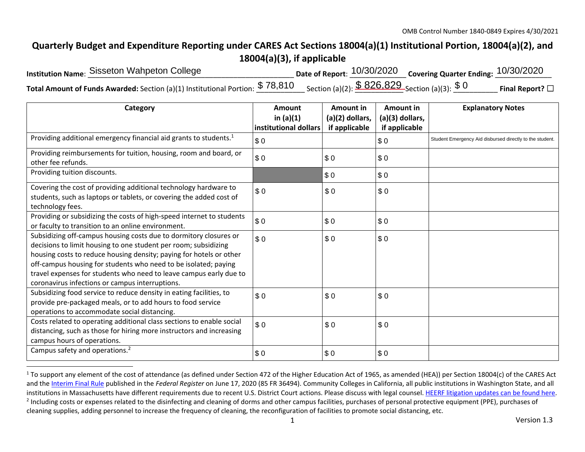## **Quarterly Budget and Expenditure Reporting under CARES Act Sections 18004(a)(1) Institutional Portion, 18004(a)(2), and 18004(a)(3), if applicable**

| Institution Name: Sisseton Wahpeton College                                                                                                                                | Date of Report: $10/30/2020$ Covering Quarter Ending: $10/30/2020$ |                         |
|----------------------------------------------------------------------------------------------------------------------------------------------------------------------------|--------------------------------------------------------------------|-------------------------|
| Total Amount of Funds Awarded: Section (a)(1) Institutional Portion: $\frac{\$~78,810}{\$~78,610}$ Section (a)(2): $\frac{\$~826,829}{\$~826,1829}$ Section (a)(3): $\$~0$ |                                                                    | Final Report? $\square$ |

| Category                                                                                                                                                                                                                                                                                                                                                                                                | Amount<br>in $(a)(1)$<br>institutional dollars | Amount in<br>(a)(2) dollars,<br>if applicable | Amount in<br>(a)(3) dollars,<br>if applicable | <b>Explanatory Notes</b>                                 |
|---------------------------------------------------------------------------------------------------------------------------------------------------------------------------------------------------------------------------------------------------------------------------------------------------------------------------------------------------------------------------------------------------------|------------------------------------------------|-----------------------------------------------|-----------------------------------------------|----------------------------------------------------------|
| Providing additional emergency financial aid grants to students. <sup>1</sup>                                                                                                                                                                                                                                                                                                                           | \$0                                            |                                               | \$0                                           | Student Emergency Aid disbursed directly to the student. |
| Providing reimbursements for tuition, housing, room and board, or<br>other fee refunds.                                                                                                                                                                                                                                                                                                                 | \$0                                            | \$0                                           | \$0                                           |                                                          |
| Providing tuition discounts.                                                                                                                                                                                                                                                                                                                                                                            |                                                | \$0                                           | \$0                                           |                                                          |
| Covering the cost of providing additional technology hardware to<br>students, such as laptops or tablets, or covering the added cost of<br>technology fees.                                                                                                                                                                                                                                             | \$0                                            | \$0                                           | \$0                                           |                                                          |
| Providing or subsidizing the costs of high-speed internet to students<br>or faculty to transition to an online environment.                                                                                                                                                                                                                                                                             | \$0                                            | \$0                                           | \$0                                           |                                                          |
| Subsidizing off-campus housing costs due to dormitory closures or<br>decisions to limit housing to one student per room; subsidizing<br>housing costs to reduce housing density; paying for hotels or other<br>off-campus housing for students who need to be isolated; paying<br>travel expenses for students who need to leave campus early due to<br>coronavirus infections or campus interruptions. | \$0                                            | \$0                                           | \$0                                           |                                                          |
| Subsidizing food service to reduce density in eating facilities, to<br>provide pre-packaged meals, or to add hours to food service<br>operations to accommodate social distancing.                                                                                                                                                                                                                      | \$0                                            | \$0                                           | \$0                                           |                                                          |
| Costs related to operating additional class sections to enable social<br>distancing, such as those for hiring more instructors and increasing<br>campus hours of operations.                                                                                                                                                                                                                            | \$0                                            | \$0                                           | \$0                                           |                                                          |
| Campus safety and operations. <sup>2</sup>                                                                                                                                                                                                                                                                                                                                                              | \$0                                            | \$0                                           | \$0                                           |                                                          |

 $1$  To support any element of the cost of attendance (as defined under Section 472 of the Higher Education Act of 1965, as amended (HEA)) per Section 18004(c) of the CARES Act and the Interim Final Rule published in the *Federal Register* on June 17, 2020 (85 FR 36494). Community Colleges in California, all public institutions in Washington State, and all institutions in Massachusetts have different requirements due to recent U.S. District Court actions. Please discuss with legal counsel. HEERF litigation updates can be found here. <sup>2</sup> Including costs or expenses related to the disinfecting and cleaning of dorms and other campus facilities, purchases of personal protective equipment (PPE), purchases of cleaning supplies, adding personnel to increase the frequency of cleaning, the reconfiguration of facilities to promote social distancing, etc.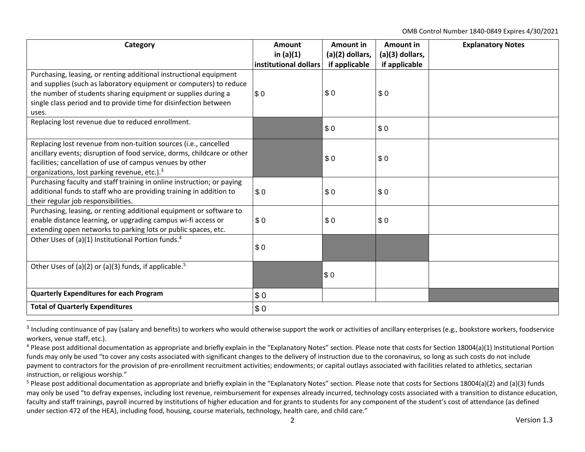OMB Control Number 1840‐0849 Expires 4/30/2021

| Category                                                                                                                                                                                                                                                                               | Amount                               | Amount in                        | Amount in            | <b>Explanatory Notes</b> |
|----------------------------------------------------------------------------------------------------------------------------------------------------------------------------------------------------------------------------------------------------------------------------------------|--------------------------------------|----------------------------------|----------------------|--------------------------|
|                                                                                                                                                                                                                                                                                        | in $(a)(1)$<br>institutional dollars | (a)(2) dollars,<br>if applicable | (a)(3) dollars,      |                          |
| Purchasing, leasing, or renting additional instructional equipment<br>and supplies (such as laboratory equipment or computers) to reduce<br>the number of students sharing equipment or supplies during a<br>single class period and to provide time for disinfection between<br>uses. | $\sqrt{3}0$                          | \$0                              | if applicable<br>\$0 |                          |
| Replacing lost revenue due to reduced enrollment.                                                                                                                                                                                                                                      |                                      | \$0                              | \$0                  |                          |
| Replacing lost revenue from non-tuition sources (i.e., cancelled<br>ancillary events; disruption of food service, dorms, childcare or other<br>facilities; cancellation of use of campus venues by other<br>organizations, lost parking revenue, etc.). <sup>3</sup>                   |                                      | \$0                              | \$0                  |                          |
| Purchasing faculty and staff training in online instruction; or paying<br>additional funds to staff who are providing training in addition to<br>their regular job responsibilities.                                                                                                   | \$0                                  | \$0                              | \$0                  |                          |
| Purchasing, leasing, or renting additional equipment or software to<br>enable distance learning, or upgrading campus wi-fi access or<br>extending open networks to parking lots or public spaces, etc.                                                                                 | \$0                                  | \$0                              | \$0                  |                          |
| Other Uses of (a)(1) Institutional Portion funds. <sup>4</sup>                                                                                                                                                                                                                         | \$0                                  |                                  |                      |                          |
| Other Uses of (a)(2) or (a)(3) funds, if applicable. <sup>5</sup>                                                                                                                                                                                                                      |                                      | \$0                              |                      |                          |
| <b>Quarterly Expenditures for each Program</b>                                                                                                                                                                                                                                         | \$0                                  |                                  |                      |                          |
| <b>Total of Quarterly Expenditures</b>                                                                                                                                                                                                                                                 | \$0                                  |                                  |                      |                          |

<sup>&</sup>lt;sup>3</sup> Including continuance of pay (salary and benefits) to workers who would otherwise support the work or activities of ancillary enterprises (e.g., bookstore workers, foodservice workers, venue staff, etc.).

<sup>&</sup>lt;sup>4</sup> Please post additional documentation as appropriate and briefly explain in the "Explanatory Notes" section. Please note that costs for Section 18004(a)(1) Institutional Portion funds may only be used "to cover any costs associated with significant changes to the delivery of instruction due to the coronavirus, so long as such costs do not include payment to contractors for the provision of pre-enrollment recruitment activities; endowments; or capital outlays associated with facilities related to athletics, sectarian instruction, or religious worship."

<sup>&</sup>lt;sup>5</sup> Please post additional documentation as appropriate and briefly explain in the "Explanatory Notes" section. Please note that costs for Sections 18004(a)(2) and (a)(3) funds may only be used "to defray expenses, including lost revenue, reimbursement for expenses already incurred, technology costs associated with a transition to distance education, faculty and staff trainings, payroll incurred by institutions of higher education and for grants to students for any component of the student's cost of attendance (as defined under section 472 of the HEA), including food, housing, course materials, technology, health care, and child care."